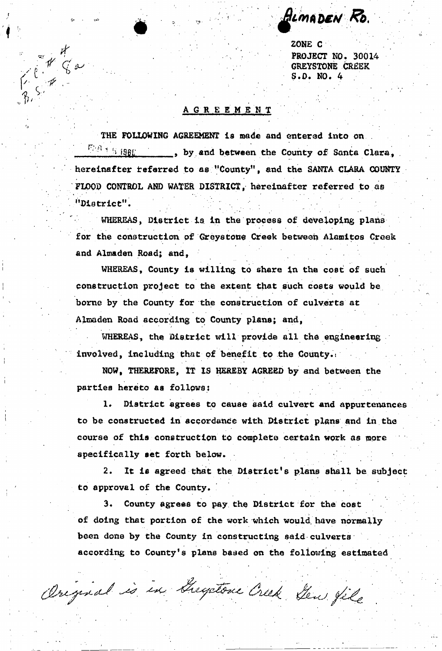HimaDEN Ro.

ZONE C PROJECT NO. 30014 GREYSTONE CREEK  $S.D. NO. 4$ 

## A GR E E M E N T

 $\mathcal{L} \times \mathcal{L}$ 

*ri) •* 

Et Ca

THE FOLLOWING AGREEMENT is made and entered into on.  $\frac{1}{2}$   $\frac{1}{2}$   $\frac{1}{2}$   $\frac{1}{2}$   $\frac{1}{2}$   $\frac{1}{2}$   $\frac{1}{2}$  by and between the County of Santa Clara. hereinafter referred to as "County", and the SANTA CLARA COUNTY FLOOD CONTROL AND WATER DISTRICT, hereinafter referred to as ''District".

WHEREAS, District is in the process of developing plans for the construction of Greystone Creek between Alamitos Creek and Almadan Road; and,

WHEREAS, County is willing to share in the cost of such construction project to the extent that such costs would be borne by the County for the construction of culverts at Almaden Road according to County plans; and,

WHEREAS, the District will provide all the engineering involved, including that of benefit to the County.

NOW, THEREFORE, IT tS HEREBY AGREED by and between the parties hereto as follows:

1. District agrees to cause said culvert and appurtenances to be constructed In accordance with District plans and in the course of this construction to complete certain work as more specifically set forth below.

2. It is agreed that the District's plans shall be subject to approval of the County.

3. County agrees to pay the District for the cost of doing that portion of the work which would have normally been done by the County in constructing said culverts according to County's plans based on the following estimated

Original is in Gregotone Creek you file